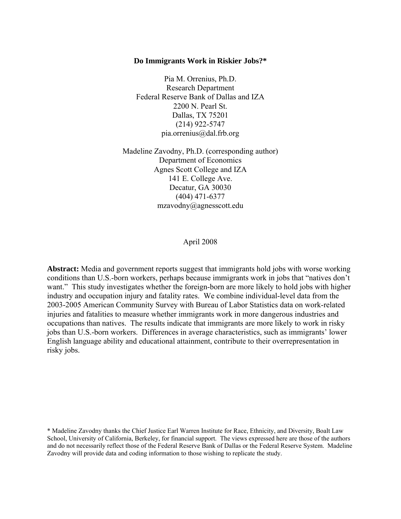#### **Do Immigrants Work in Riskier Jobs?\***

Pia M. Orrenius, Ph.D. Research Department Federal Reserve Bank of Dallas and IZA 2200 N. Pearl St. Dallas, TX 75201 (214) 922-5747 pia.orrenius@dal.frb.org

Madeline Zavodny, Ph.D. (corresponding author) Department of Economics Agnes Scott College and IZA 141 E. College Ave. Decatur, GA 30030 (404) 471-6377 mzavodny@agnesscott.edu

April 2008

**Abstract:** Media and government reports suggest that immigrants hold jobs with worse working conditions than U.S.-born workers, perhaps because immigrants work in jobs that "natives don't want." This study investigates whether the foreign-born are more likely to hold jobs with higher industry and occupation injury and fatality rates. We combine individual-level data from the 2003-2005 American Community Survey with Bureau of Labor Statistics data on work-related injuries and fatalities to measure whether immigrants work in more dangerous industries and occupations than natives. The results indicate that immigrants are more likely to work in risky jobs than U.S.-born workers. Differences in average characteristics, such as immigrants' lower English language ability and educational attainment, contribute to their overrepresentation in risky jobs.

<sup>\*</sup> Madeline Zavodny thanks the Chief Justice Earl Warren Institute for Race, Ethnicity, and Diversity, Boalt Law School, University of California, Berkeley, for financial support. The views expressed here are those of the authors and do not necessarily reflect those of the Federal Reserve Bank of Dallas or the Federal Reserve System. Madeline Zavodny will provide data and coding information to those wishing to replicate the study.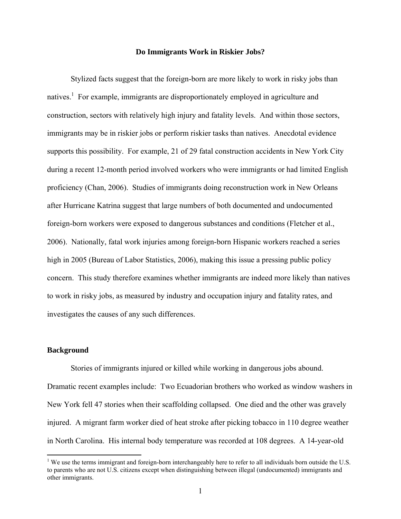#### **Do Immigrants Work in Riskier Jobs?**

Stylized facts suggest that the foreign-born are more likely to work in risky jobs than natives.<sup>1</sup> For example, immigrants are disproportionately employed in agriculture and construction, sectors with relatively high injury and fatality levels. And within those sectors, immigrants may be in riskier jobs or perform riskier tasks than natives. Anecdotal evidence supports this possibility. For example, 21 of 29 fatal construction accidents in New York City during a recent 12-month period involved workers who were immigrants or had limited English proficiency (Chan, 2006). Studies of immigrants doing reconstruction work in New Orleans after Hurricane Katrina suggest that large numbers of both documented and undocumented foreign-born workers were exposed to dangerous substances and conditions (Fletcher et al., 2006). Nationally, fatal work injuries among foreign-born Hispanic workers reached a series high in 2005 (Bureau of Labor Statistics, 2006), making this issue a pressing public policy concern. This study therefore examines whether immigrants are indeed more likely than natives to work in risky jobs, as measured by industry and occupation injury and fatality rates, and investigates the causes of any such differences.

## **Background**

 $\overline{a}$ 

 Stories of immigrants injured or killed while working in dangerous jobs abound. Dramatic recent examples include: Two Ecuadorian brothers who worked as window washers in New York fell 47 stories when their scaffolding collapsed. One died and the other was gravely injured. A migrant farm worker died of heat stroke after picking tobacco in 110 degree weather in North Carolina. His internal body temperature was recorded at 108 degrees. A 14-year-old

 $1$  We use the terms immigrant and foreign-born interchangeably here to refer to all individuals born outside the U.S. to parents who are not U.S. citizens except when distinguishing between illegal (undocumented) immigrants and other immigrants.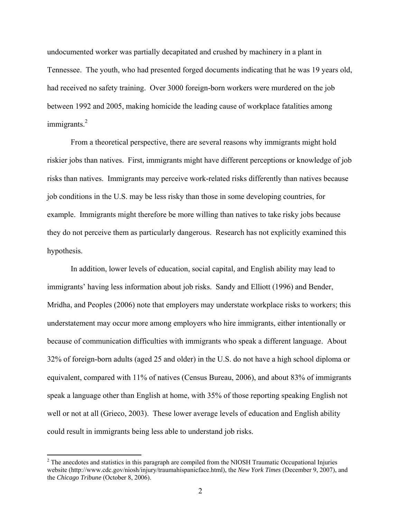undocumented worker was partially decapitated and crushed by machinery in a plant in Tennessee. The youth, who had presented forged documents indicating that he was 19 years old, had received no safety training. Over 3000 foreign-born workers were murdered on the job between 1992 and 2005, making homicide the leading cause of workplace fatalities among immigrants.<sup>2</sup>

 From a theoretical perspective, there are several reasons why immigrants might hold riskier jobs than natives. First, immigrants might have different perceptions or knowledge of job risks than natives. Immigrants may perceive work-related risks differently than natives because job conditions in the U.S. may be less risky than those in some developing countries, for example. Immigrants might therefore be more willing than natives to take risky jobs because they do not perceive them as particularly dangerous. Research has not explicitly examined this hypothesis.

 In addition, lower levels of education, social capital, and English ability may lead to immigrants' having less information about job risks. Sandy and Elliott (1996) and Bender, Mridha, and Peoples (2006) note that employers may understate workplace risks to workers; this understatement may occur more among employers who hire immigrants, either intentionally or because of communication difficulties with immigrants who speak a different language. About 32% of foreign-born adults (aged 25 and older) in the U.S. do not have a high school diploma or equivalent, compared with 11% of natives (Census Bureau, 2006), and about 83% of immigrants speak a language other than English at home, with 35% of those reporting speaking English not well or not at all (Grieco, 2003). These lower average levels of education and English ability could result in immigrants being less able to understand job risks.

 $2^2$  The anecdotes and statistics in this paragraph are compiled from the NIOSH Traumatic Occupational Injuries website (http://www.cdc.gov/niosh/injury/traumahispanicface.html), the *New York Times* (December 9, 2007), and the *Chicago Tribune* (October 8, 2006).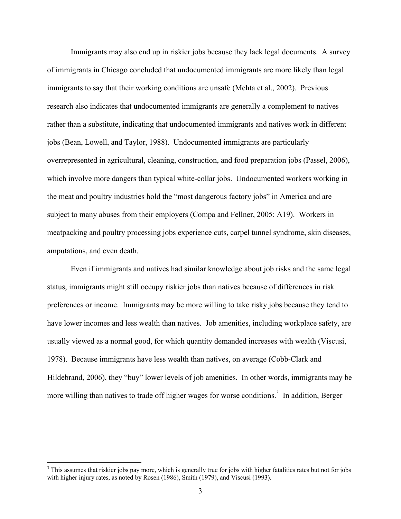Immigrants may also end up in riskier jobs because they lack legal documents. A survey of immigrants in Chicago concluded that undocumented immigrants are more likely than legal immigrants to say that their working conditions are unsafe (Mehta et al., 2002). Previous research also indicates that undocumented immigrants are generally a complement to natives rather than a substitute, indicating that undocumented immigrants and natives work in different jobs (Bean, Lowell, and Taylor, 1988). Undocumented immigrants are particularly overrepresented in agricultural, cleaning, construction, and food preparation jobs (Passel, 2006), which involve more dangers than typical white-collar jobs. Undocumented workers working in the meat and poultry industries hold the "most dangerous factory jobs" in America and are subject to many abuses from their employers (Compa and Fellner, 2005: A19). Workers in meatpacking and poultry processing jobs experience cuts, carpel tunnel syndrome, skin diseases, amputations, and even death.

Even if immigrants and natives had similar knowledge about job risks and the same legal status, immigrants might still occupy riskier jobs than natives because of differences in risk preferences or income. Immigrants may be more willing to take risky jobs because they tend to have lower incomes and less wealth than natives. Job amenities, including workplace safety, are usually viewed as a normal good, for which quantity demanded increases with wealth (Viscusi, 1978). Because immigrants have less wealth than natives, on average (Cobb-Clark and Hildebrand, 2006), they "buy" lower levels of job amenities. In other words, immigrants may be more willing than natives to trade off higher wages for worse conditions.<sup>3</sup> In addition, Berger

 $\overline{a}$ 

<sup>&</sup>lt;sup>3</sup> This assumes that riskier jobs pay more, which is generally true for jobs with higher fatalities rates but not for jobs with higher injury rates, as noted by Rosen (1986), Smith (1979), and Viscusi (1993).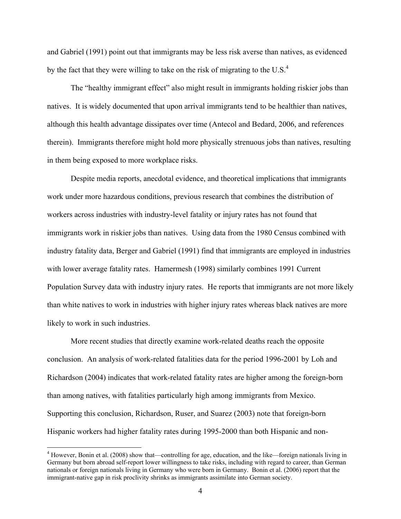and Gabriel (1991) point out that immigrants may be less risk averse than natives, as evidenced by the fact that they were willing to take on the risk of migrating to the U.S. $4$ 

The "healthy immigrant effect" also might result in immigrants holding riskier jobs than natives. It is widely documented that upon arrival immigrants tend to be healthier than natives, although this health advantage dissipates over time (Antecol and Bedard, 2006, and references therein). Immigrants therefore might hold more physically strenuous jobs than natives, resulting in them being exposed to more workplace risks.

Despite media reports, anecdotal evidence, and theoretical implications that immigrants work under more hazardous conditions, previous research that combines the distribution of workers across industries with industry-level fatality or injury rates has not found that immigrants work in riskier jobs than natives. Using data from the 1980 Census combined with industry fatality data, Berger and Gabriel (1991) find that immigrants are employed in industries with lower average fatality rates. Hamermesh (1998) similarly combines 1991 Current Population Survey data with industry injury rates. He reports that immigrants are not more likely than white natives to work in industries with higher injury rates whereas black natives are more likely to work in such industries.

More recent studies that directly examine work-related deaths reach the opposite conclusion. An analysis of work-related fatalities data for the period 1996-2001 by Loh and Richardson (2004) indicates that work-related fatality rates are higher among the foreign-born than among natives, with fatalities particularly high among immigrants from Mexico. Supporting this conclusion, Richardson, Ruser, and Suarez (2003) note that foreign-born Hispanic workers had higher fatality rates during 1995-2000 than both Hispanic and non-

<sup>&</sup>lt;sup>4</sup> However, Bonin et al. (2008) show that—controlling for age, education, and the like—foreign nationals living in Germany but born abroad self-report lower willingness to take risks, including with regard to career, than German nationals or foreign nationals living in Germany who were born in Germany. Bonin et al. (2006) report that the immigrant-native gap in risk proclivity shrinks as immigrants assimilate into German society.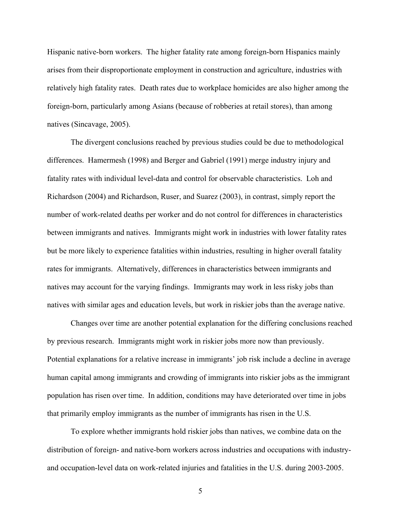Hispanic native-born workers. The higher fatality rate among foreign-born Hispanics mainly arises from their disproportionate employment in construction and agriculture, industries with relatively high fatality rates. Death rates due to workplace homicides are also higher among the foreign-born, particularly among Asians (because of robberies at retail stores), than among natives (Sincavage, 2005).

The divergent conclusions reached by previous studies could be due to methodological differences. Hamermesh (1998) and Berger and Gabriel (1991) merge industry injury and fatality rates with individual level-data and control for observable characteristics. Loh and Richardson (2004) and Richardson, Ruser, and Suarez (2003), in contrast, simply report the number of work-related deaths per worker and do not control for differences in characteristics between immigrants and natives. Immigrants might work in industries with lower fatality rates but be more likely to experience fatalities within industries, resulting in higher overall fatality rates for immigrants. Alternatively, differences in characteristics between immigrants and natives may account for the varying findings. Immigrants may work in less risky jobs than natives with similar ages and education levels, but work in riskier jobs than the average native.

Changes over time are another potential explanation for the differing conclusions reached by previous research. Immigrants might work in riskier jobs more now than previously. Potential explanations for a relative increase in immigrants' job risk include a decline in average human capital among immigrants and crowding of immigrants into riskier jobs as the immigrant population has risen over time. In addition, conditions may have deteriorated over time in jobs that primarily employ immigrants as the number of immigrants has risen in the U.S.

To explore whether immigrants hold riskier jobs than natives, we combine data on the distribution of foreign- and native-born workers across industries and occupations with industryand occupation-level data on work-related injuries and fatalities in the U.S. during 2003-2005.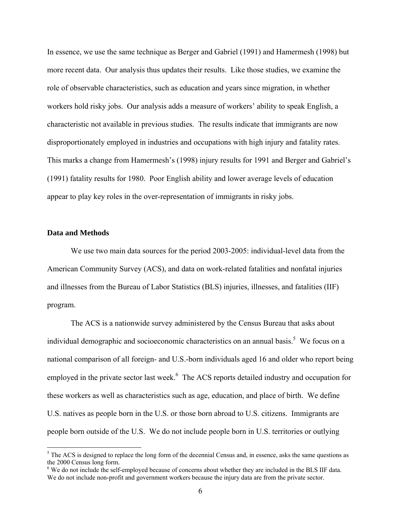In essence, we use the same technique as Berger and Gabriel (1991) and Hamermesh (1998) but more recent data. Our analysis thus updates their results. Like those studies, we examine the role of observable characteristics, such as education and years since migration, in whether workers hold risky jobs. Our analysis adds a measure of workers' ability to speak English, a characteristic not available in previous studies. The results indicate that immigrants are now disproportionately employed in industries and occupations with high injury and fatality rates. This marks a change from Hamermesh's (1998) injury results for 1991 and Berger and Gabriel's (1991) fatality results for 1980. Poor English ability and lower average levels of education appear to play key roles in the over-representation of immigrants in risky jobs.

#### **Data and Methods**

 $\overline{a}$ 

We use two main data sources for the period 2003-2005: individual-level data from the American Community Survey (ACS), and data on work-related fatalities and nonfatal injuries and illnesses from the Bureau of Labor Statistics (BLS) injuries, illnesses, and fatalities (IIF) program.

The ACS is a nationwide survey administered by the Census Bureau that asks about individual demographic and socioeconomic characteristics on an annual basis.<sup>5</sup> We focus on a national comparison of all foreign- and U.S.-born individuals aged 16 and older who report being employed in the private sector last week.<sup>6</sup> The ACS reports detailed industry and occupation for these workers as well as characteristics such as age, education, and place of birth. We define U.S. natives as people born in the U.S. or those born abroad to U.S. citizens. Immigrants are people born outside of the U.S. We do not include people born in U.S. territories or outlying

 $<sup>5</sup>$  The ACS is designed to replace the long form of the decennial Census and, in essence, asks the same questions as</sup> the 2000 Census long form.

<sup>&</sup>lt;sup>6</sup> We do not include the self-employed because of concerns about whether they are included in the BLS IIF data. We do not include non-profit and government workers because the injury data are from the private sector.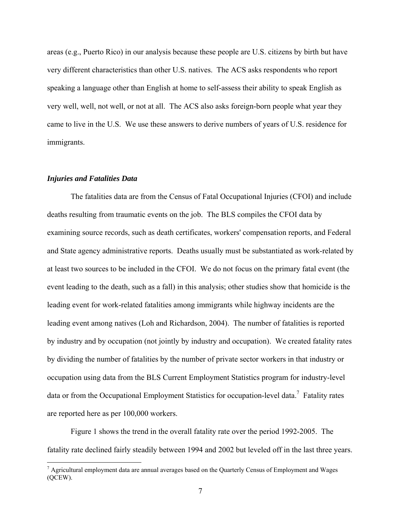areas (e.g., Puerto Rico) in our analysis because these people are U.S. citizens by birth but have very different characteristics than other U.S. natives. The ACS asks respondents who report speaking a language other than English at home to self-assess their ability to speak English as very well, well, not well, or not at all. The ACS also asks foreign-born people what year they came to live in the U.S. We use these answers to derive numbers of years of U.S. residence for immigrants.

#### *Injuries and Fatalities Data*

 $\overline{a}$ 

The fatalities data are from the Census of Fatal Occupational Injuries (CFOI) and include deaths resulting from traumatic events on the job. The BLS compiles the CFOI data by examining source records, such as death certificates, workers' compensation reports, and Federal and State agency administrative reports. Deaths usually must be substantiated as work-related by at least two sources to be included in the CFOI. We do not focus on the primary fatal event (the event leading to the death, such as a fall) in this analysis; other studies show that homicide is the leading event for work-related fatalities among immigrants while highway incidents are the leading event among natives (Loh and Richardson, 2004). The number of fatalities is reported by industry and by occupation (not jointly by industry and occupation). We created fatality rates by dividing the number of fatalities by the number of private sector workers in that industry or occupation using data from the BLS Current Employment Statistics program for industry-level data or from the Occupational Employment Statistics for occupation-level data.<sup>7</sup> Fatality rates are reported here as per 100,000 workers.

Figure 1 shows the trend in the overall fatality rate over the period 1992-2005. The fatality rate declined fairly steadily between 1994 and 2002 but leveled off in the last three years.

 $<sup>7</sup>$  Agricultural employment data are annual averages based on the Quarterly Census of Employment and Wages</sup> (QCEW).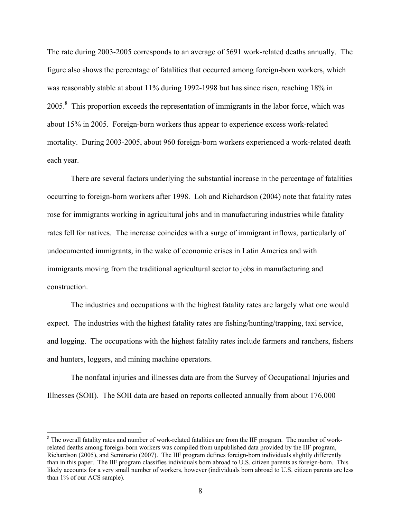The rate during 2003-2005 corresponds to an average of 5691 work-related deaths annually. The figure also shows the percentage of fatalities that occurred among foreign-born workers, which was reasonably stable at about 11% during 1992-1998 but has since risen, reaching 18% in 2005.<sup>8</sup> This proportion exceeds the representation of immigrants in the labor force, which was about 15% in 2005. Foreign-born workers thus appear to experience excess work-related mortality. During 2003-2005, about 960 foreign-born workers experienced a work-related death each year.

There are several factors underlying the substantial increase in the percentage of fatalities occurring to foreign-born workers after 1998. Loh and Richardson (2004) note that fatality rates rose for immigrants working in agricultural jobs and in manufacturing industries while fatality rates fell for natives. The increase coincides with a surge of immigrant inflows, particularly of undocumented immigrants, in the wake of economic crises in Latin America and with immigrants moving from the traditional agricultural sector to jobs in manufacturing and construction.

The industries and occupations with the highest fatality rates are largely what one would expect. The industries with the highest fatality rates are fishing/hunting/trapping, taxi service, and logging. The occupations with the highest fatality rates include farmers and ranchers, fishers and hunters, loggers, and mining machine operators.

The nonfatal injuries and illnesses data are from the Survey of Occupational Injuries and Illnesses (SOII). The SOII data are based on reports collected annually from about 176,000

 $8$  The overall fatality rates and number of work-related fatalities are from the IIF program. The number of workrelated deaths among foreign-born workers was compiled from unpublished data provided by the IIF program, Richardson (2005), and Seminario (2007). The IIF program defines foreign-born individuals slightly differently than in this paper. The IIF program classifies individuals born abroad to U.S. citizen parents as foreign-born. This likely accounts for a very small number of workers, however (individuals born abroad to U.S. citizen parents are less than 1% of our ACS sample).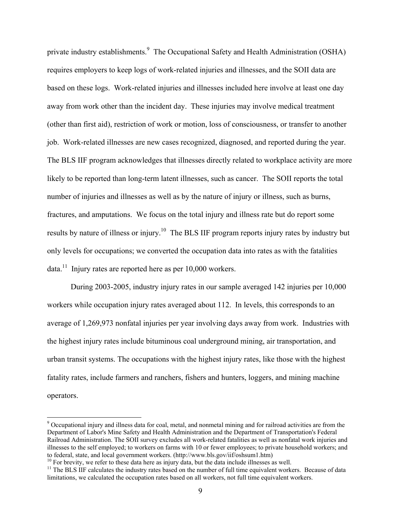private industry establishments.<sup>9</sup> The Occupational Safety and Health Administration (OSHA) requires employers to keep logs of work-related injuries and illnesses, and the SOII data are based on these logs. Work-related injuries and illnesses included here involve at least one day away from work other than the incident day. These injuries may involve medical treatment (other than first aid), restriction of work or motion, loss of consciousness, or transfer to another job. Work-related illnesses are new cases recognized, diagnosed, and reported during the year. The BLS IIF program acknowledges that illnesses directly related to workplace activity are more likely to be reported than long-term latent illnesses, such as cancer. The SOII reports the total number of injuries and illnesses as well as by the nature of injury or illness, such as burns, fractures, and amputations. We focus on the total injury and illness rate but do report some results by nature of illness or injury.10 The BLS IIF program reports injury rates by industry but only levels for occupations; we converted the occupation data into rates as with the fatalities data.<sup>11</sup> Injury rates are reported here as per  $10,000$  workers.

During 2003-2005, industry injury rates in our sample averaged 142 injuries per 10,000 workers while occupation injury rates averaged about 112. In levels, this corresponds to an average of 1,269,973 nonfatal injuries per year involving days away from work. Industries with the highest injury rates include bituminous coal underground mining, air transportation, and urban transit systems. The occupations with the highest injury rates, like those with the highest fatality rates, include farmers and ranchers, fishers and hunters, loggers, and mining machine operators.

 $\overline{a}$ 

 $9$  Occupational injury and illness data for coal, metal, and nonmetal mining and for railroad activities are from the Department of Labor's Mine Safety and Health Administration and the Department of Transportation's Federal Railroad Administration. The SOII survey excludes all work-related fatalities as well as nonfatal work injuries and illnesses to the self employed; to workers on farms with 10 or fewer employees; to private household workers; and to federal, state, and local government workers. (http://www.bls.gov/iif/oshsum1.htm)

 $^{10}$  For brevity, we refer to these data here as injury data, but the data include illnesses as well.<br><sup>11</sup> The BLS IIF calculates the industry rates based on the number of full time equivalent workers. Because of data limitations, we calculated the occupation rates based on all workers, not full time equivalent workers.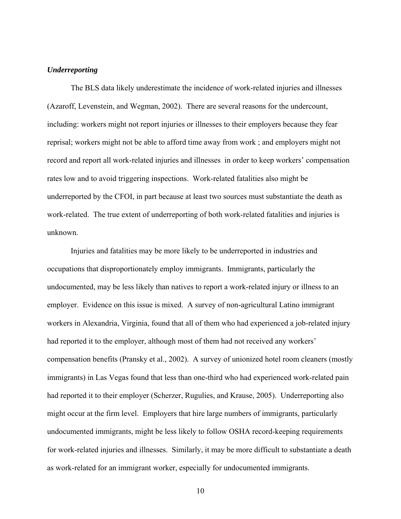### *Underreporting*

The BLS data likely underestimate the incidence of work-related injuries and illnesses (Azaroff, Levenstein, and Wegman, 2002). There are several reasons for the undercount, including: workers might not report injuries or illnesses to their employers because they fear reprisal; workers might not be able to afford time away from work ; and employers might not record and report all work-related injuries and illnesses in order to keep workers' compensation rates low and to avoid triggering inspections. Work-related fatalities also might be underreported by the CFOI, in part because at least two sources must substantiate the death as work-related. The true extent of underreporting of both work-related fatalities and injuries is unknown.

Injuries and fatalities may be more likely to be underreported in industries and occupations that disproportionately employ immigrants. Immigrants, particularly the undocumented, may be less likely than natives to report a work-related injury or illness to an employer. Evidence on this issue is mixed. A survey of non-agricultural Latino immigrant workers in Alexandria, Virginia, found that all of them who had experienced a job-related injury had reported it to the employer, although most of them had not received any workers' compensation benefits (Pransky et al., 2002). A survey of unionized hotel room cleaners (mostly immigrants) in Las Vegas found that less than one-third who had experienced work-related pain had reported it to their employer (Scherzer, Rugulies, and Krause, 2005). Underreporting also might occur at the firm level. Employers that hire large numbers of immigrants, particularly undocumented immigrants, might be less likely to follow OSHA record-keeping requirements for work-related injuries and illnesses. Similarly, it may be more difficult to substantiate a death as work-related for an immigrant worker, especially for undocumented immigrants.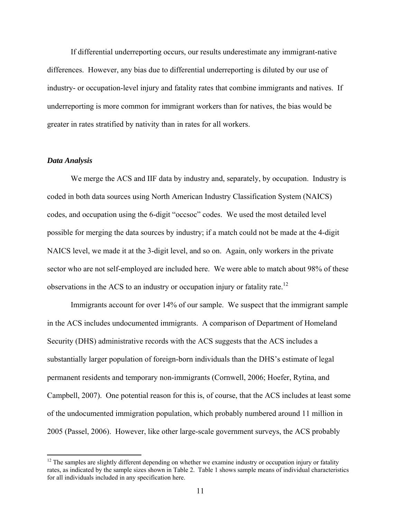If differential underreporting occurs, our results underestimate any immigrant-native differences. However, any bias due to differential underreporting is diluted by our use of industry- or occupation-level injury and fatality rates that combine immigrants and natives. If underreporting is more common for immigrant workers than for natives, the bias would be greater in rates stratified by nativity than in rates for all workers.

#### *Data Analysis*

 $\overline{a}$ 

We merge the ACS and IIF data by industry and, separately, by occupation. Industry is coded in both data sources using North American Industry Classification System (NAICS) codes, and occupation using the 6-digit "occsoc" codes. We used the most detailed level possible for merging the data sources by industry; if a match could not be made at the 4-digit NAICS level, we made it at the 3-digit level, and so on. Again, only workers in the private sector who are not self-employed are included here. We were able to match about 98% of these observations in the ACS to an industry or occupation injury or fatality rate.<sup>12</sup>

 Immigrants account for over 14% of our sample. We suspect that the immigrant sample in the ACS includes undocumented immigrants. A comparison of Department of Homeland Security (DHS) administrative records with the ACS suggests that the ACS includes a substantially larger population of foreign-born individuals than the DHS's estimate of legal permanent residents and temporary non-immigrants (Cornwell, 2006; Hoefer, Rytina, and Campbell, 2007). One potential reason for this is, of course, that the ACS includes at least some of the undocumented immigration population, which probably numbered around 11 million in 2005 (Passel, 2006). However, like other large-scale government surveys, the ACS probably

 $12$  The samples are slightly different depending on whether we examine industry or occupation injury or fatality rates, as indicated by the sample sizes shown in Table 2. Table 1 shows sample means of individual characteristics for all individuals included in any specification here.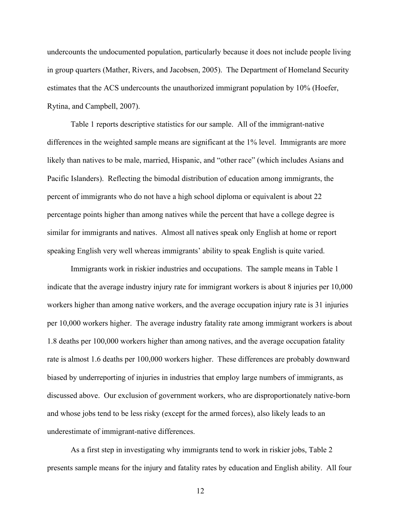undercounts the undocumented population, particularly because it does not include people living in group quarters (Mather, Rivers, and Jacobsen, 2005). The Department of Homeland Security estimates that the ACS undercounts the unauthorized immigrant population by 10% (Hoefer, Rytina, and Campbell, 2007).

 Table 1 reports descriptive statistics for our sample. All of the immigrant-native differences in the weighted sample means are significant at the 1% level. Immigrants are more likely than natives to be male, married, Hispanic, and "other race" (which includes Asians and Pacific Islanders). Reflecting the bimodal distribution of education among immigrants, the percent of immigrants who do not have a high school diploma or equivalent is about 22 percentage points higher than among natives while the percent that have a college degree is similar for immigrants and natives. Almost all natives speak only English at home or report speaking English very well whereas immigrants' ability to speak English is quite varied.

 Immigrants work in riskier industries and occupations. The sample means in Table 1 indicate that the average industry injury rate for immigrant workers is about 8 injuries per 10,000 workers higher than among native workers, and the average occupation injury rate is 31 injuries per 10,000 workers higher. The average industry fatality rate among immigrant workers is about 1.8 deaths per 100,000 workers higher than among natives, and the average occupation fatality rate is almost 1.6 deaths per 100,000 workers higher. These differences are probably downward biased by underreporting of injuries in industries that employ large numbers of immigrants, as discussed above. Our exclusion of government workers, who are disproportionately native-born and whose jobs tend to be less risky (except for the armed forces), also likely leads to an underestimate of immigrant-native differences.

 As a first step in investigating why immigrants tend to work in riskier jobs, Table 2 presents sample means for the injury and fatality rates by education and English ability. All four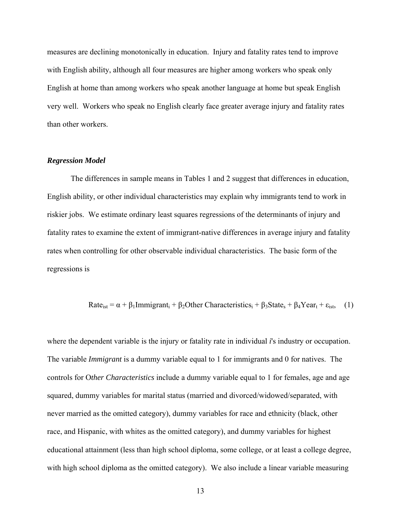measures are declining monotonically in education. Injury and fatality rates tend to improve with English ability, although all four measures are higher among workers who speak only English at home than among workers who speak another language at home but speak English very well. Workers who speak no English clearly face greater average injury and fatality rates than other workers.

#### *Regression Model*

 The differences in sample means in Tables 1 and 2 suggest that differences in education, English ability, or other individual characteristics may explain why immigrants tend to work in riskier jobs. We estimate ordinary least squares regressions of the determinants of injury and fatality rates to examine the extent of immigrant-native differences in average injury and fatality rates when controlling for other observable individual characteristics. The basic form of the regressions is

Rate<sub>ist</sub> = 
$$
\alpha + \beta_1
$$
Immigrant<sub>i</sub> +  $\beta_2$ Other Characteristics<sub>i</sub> +  $\beta_3$ State<sub>s</sub> +  $\beta_4$ Year<sub>t</sub> +  $\varepsilon_{\text{ist}}$ , (1)

where the dependent variable is the injury or fatality rate in individual *i*'s industry or occupation. The variable *Immigrant* is a dummy variable equal to 1 for immigrants and 0 for natives. The controls for O*ther Characteristics* include a dummy variable equal to 1 for females, age and age squared, dummy variables for marital status (married and divorced/widowed/separated, with never married as the omitted category), dummy variables for race and ethnicity (black, other race, and Hispanic, with whites as the omitted category), and dummy variables for highest educational attainment (less than high school diploma, some college, or at least a college degree, with high school diploma as the omitted category). We also include a linear variable measuring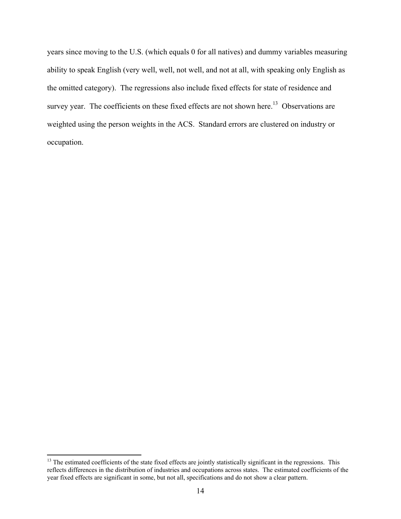years since moving to the U.S. (which equals 0 for all natives) and dummy variables measuring ability to speak English (very well, well, not well, and not at all, with speaking only English as the omitted category). The regressions also include fixed effects for state of residence and survey year. The coefficients on these fixed effects are not shown here.<sup>13</sup> Observations are weighted using the person weights in the ACS. Standard errors are clustered on industry or occupation.

 $\overline{a}$ <sup>13</sup> The estimated coefficients of the state fixed effects are jointly statistically significant in the regressions. This reflects differences in the distribution of industries and occupations across states. The estimated coefficients of the year fixed effects are significant in some, but not all, specifications and do not show a clear pattern.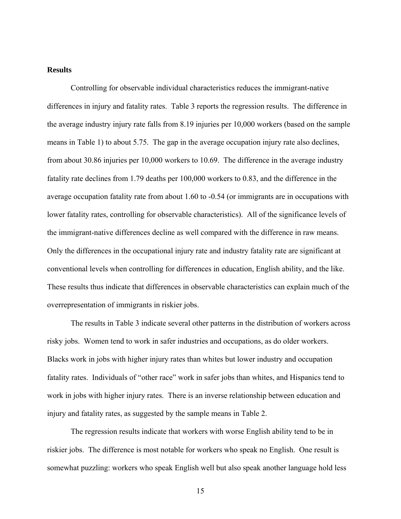## **Results**

 Controlling for observable individual characteristics reduces the immigrant-native differences in injury and fatality rates. Table 3 reports the regression results. The difference in the average industry injury rate falls from 8.19 injuries per 10,000 workers (based on the sample means in Table 1) to about 5.75. The gap in the average occupation injury rate also declines, from about 30.86 injuries per 10,000 workers to 10.69. The difference in the average industry fatality rate declines from 1.79 deaths per 100,000 workers to 0.83, and the difference in the average occupation fatality rate from about 1.60 to -0.54 (or immigrants are in occupations with lower fatality rates, controlling for observable characteristics). All of the significance levels of the immigrant-native differences decline as well compared with the difference in raw means. Only the differences in the occupational injury rate and industry fatality rate are significant at conventional levels when controlling for differences in education, English ability, and the like. These results thus indicate that differences in observable characteristics can explain much of the overrepresentation of immigrants in riskier jobs.

 The results in Table 3 indicate several other patterns in the distribution of workers across risky jobs. Women tend to work in safer industries and occupations, as do older workers. Blacks work in jobs with higher injury rates than whites but lower industry and occupation fatality rates. Individuals of "other race" work in safer jobs than whites, and Hispanics tend to work in jobs with higher injury rates. There is an inverse relationship between education and injury and fatality rates, as suggested by the sample means in Table 2.

 The regression results indicate that workers with worse English ability tend to be in riskier jobs. The difference is most notable for workers who speak no English. One result is somewhat puzzling: workers who speak English well but also speak another language hold less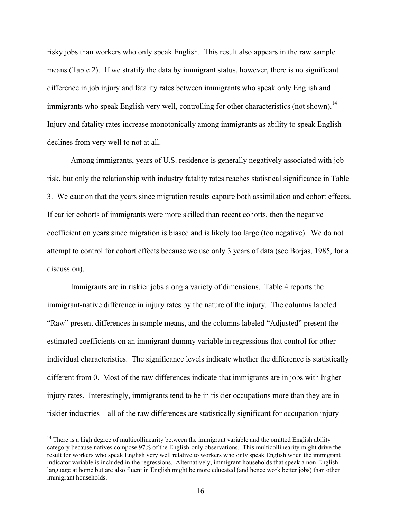risky jobs than workers who only speak English. This result also appears in the raw sample means (Table 2). If we stratify the data by immigrant status, however, there is no significant difference in job injury and fatality rates between immigrants who speak only English and immigrants who speak English very well, controlling for other characteristics (not shown).<sup>14</sup> Injury and fatality rates increase monotonically among immigrants as ability to speak English declines from very well to not at all.

 Among immigrants, years of U.S. residence is generally negatively associated with job risk, but only the relationship with industry fatality rates reaches statistical significance in Table 3. We caution that the years since migration results capture both assimilation and cohort effects. If earlier cohorts of immigrants were more skilled than recent cohorts, then the negative coefficient on years since migration is biased and is likely too large (too negative). We do not attempt to control for cohort effects because we use only 3 years of data (see Borjas, 1985, for a discussion).

 Immigrants are in riskier jobs along a variety of dimensions. Table 4 reports the immigrant-native difference in injury rates by the nature of the injury. The columns labeled "Raw" present differences in sample means, and the columns labeled "Adjusted" present the estimated coefficients on an immigrant dummy variable in regressions that control for other individual characteristics. The significance levels indicate whether the difference is statistically different from 0. Most of the raw differences indicate that immigrants are in jobs with higher injury rates. Interestingly, immigrants tend to be in riskier occupations more than they are in riskier industries—all of the raw differences are statistically significant for occupation injury

 $\overline{a}$ 

 $14$  There is a high degree of multicollinearity between the immigrant variable and the omitted English ability category because natives compose 97% of the English-only observations. This multicollinearity might drive the result for workers who speak English very well relative to workers who only speak English when the immigrant indicator variable is included in the regressions. Alternatively, immigrant households that speak a non-English language at home but are also fluent in English might be more educated (and hence work better jobs) than other immigrant households.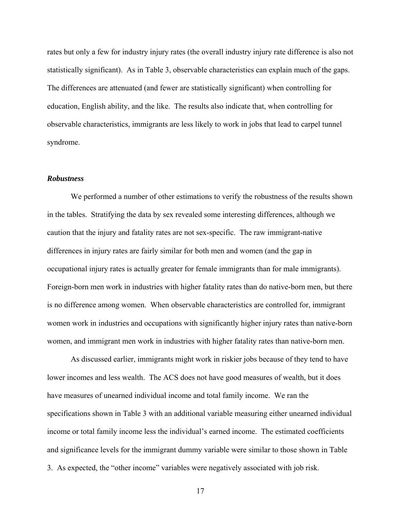rates but only a few for industry injury rates (the overall industry injury rate difference is also not statistically significant). As in Table 3, observable characteristics can explain much of the gaps. The differences are attenuated (and fewer are statistically significant) when controlling for education, English ability, and the like. The results also indicate that, when controlling for observable characteristics, immigrants are less likely to work in jobs that lead to carpel tunnel syndrome.

#### *Robustness*

 We performed a number of other estimations to verify the robustness of the results shown in the tables. Stratifying the data by sex revealed some interesting differences, although we caution that the injury and fatality rates are not sex-specific. The raw immigrant-native differences in injury rates are fairly similar for both men and women (and the gap in occupational injury rates is actually greater for female immigrants than for male immigrants). Foreign-born men work in industries with higher fatality rates than do native-born men, but there is no difference among women. When observable characteristics are controlled for, immigrant women work in industries and occupations with significantly higher injury rates than native-born women, and immigrant men work in industries with higher fatality rates than native-born men.

 As discussed earlier, immigrants might work in riskier jobs because of they tend to have lower incomes and less wealth. The ACS does not have good measures of wealth, but it does have measures of unearned individual income and total family income. We ran the specifications shown in Table 3 with an additional variable measuring either unearned individual income or total family income less the individual's earned income. The estimated coefficients and significance levels for the immigrant dummy variable were similar to those shown in Table 3. As expected, the "other income" variables were negatively associated with job risk.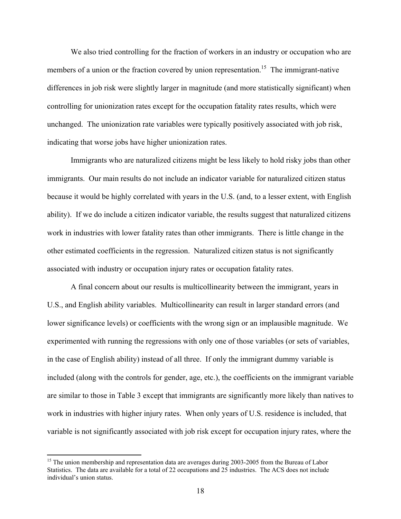We also tried controlling for the fraction of workers in an industry or occupation who are members of a union or the fraction covered by union representation.<sup>15</sup> The immigrant-native differences in job risk were slightly larger in magnitude (and more statistically significant) when controlling for unionization rates except for the occupation fatality rates results, which were unchanged. The unionization rate variables were typically positively associated with job risk, indicating that worse jobs have higher unionization rates.

 Immigrants who are naturalized citizens might be less likely to hold risky jobs than other immigrants. Our main results do not include an indicator variable for naturalized citizen status because it would be highly correlated with years in the U.S. (and, to a lesser extent, with English ability). If we do include a citizen indicator variable, the results suggest that naturalized citizens work in industries with lower fatality rates than other immigrants. There is little change in the other estimated coefficients in the regression. Naturalized citizen status is not significantly associated with industry or occupation injury rates or occupation fatality rates.

 A final concern about our results is multicollinearity between the immigrant, years in U.S., and English ability variables. Multicollinearity can result in larger standard errors (and lower significance levels) or coefficients with the wrong sign or an implausible magnitude. We experimented with running the regressions with only one of those variables (or sets of variables, in the case of English ability) instead of all three. If only the immigrant dummy variable is included (along with the controls for gender, age, etc.), the coefficients on the immigrant variable are similar to those in Table 3 except that immigrants are significantly more likely than natives to work in industries with higher injury rates. When only years of U.S. residence is included, that variable is not significantly associated with job risk except for occupation injury rates, where the

 $\overline{a}$ 

<sup>&</sup>lt;sup>15</sup> The union membership and representation data are averages during 2003-2005 from the Bureau of Labor Statistics. The data are available for a total of 22 occupations and 25 industries. The ACS does not include individual's union status.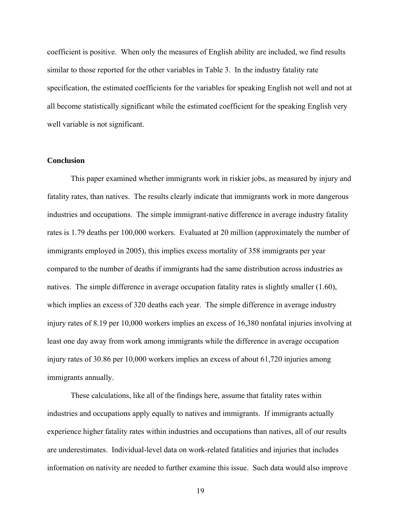coefficient is positive. When only the measures of English ability are included, we find results similar to those reported for the other variables in Table 3. In the industry fatality rate specification, the estimated coefficients for the variables for speaking English not well and not at all become statistically significant while the estimated coefficient for the speaking English very well variable is not significant.

#### **Conclusion**

 This paper examined whether immigrants work in riskier jobs, as measured by injury and fatality rates, than natives. The results clearly indicate that immigrants work in more dangerous industries and occupations. The simple immigrant-native difference in average industry fatality rates is 1.79 deaths per 100,000 workers. Evaluated at 20 million (approximately the number of immigrants employed in 2005), this implies excess mortality of 358 immigrants per year compared to the number of deaths if immigrants had the same distribution across industries as natives. The simple difference in average occupation fatality rates is slightly smaller (1.60), which implies an excess of 320 deaths each year. The simple difference in average industry injury rates of 8.19 per 10,000 workers implies an excess of 16,380 nonfatal injuries involving at least one day away from work among immigrants while the difference in average occupation injury rates of 30.86 per 10,000 workers implies an excess of about 61,720 injuries among immigrants annually.

 These calculations, like all of the findings here, assume that fatality rates within industries and occupations apply equally to natives and immigrants. If immigrants actually experience higher fatality rates within industries and occupations than natives, all of our results are underestimates. Individual-level data on work-related fatalities and injuries that includes information on nativity are needed to further examine this issue. Such data would also improve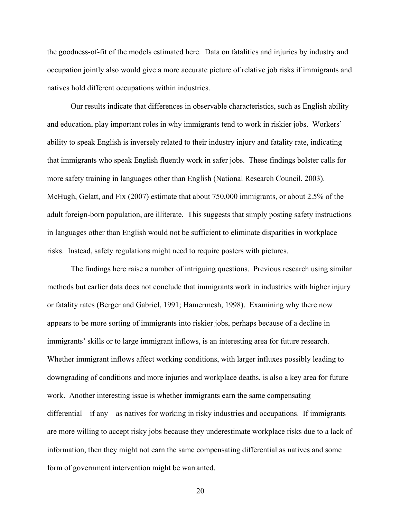the goodness-of-fit of the models estimated here. Data on fatalities and injuries by industry and occupation jointly also would give a more accurate picture of relative job risks if immigrants and natives hold different occupations within industries.

 Our results indicate that differences in observable characteristics, such as English ability and education, play important roles in why immigrants tend to work in riskier jobs. Workers' ability to speak English is inversely related to their industry injury and fatality rate, indicating that immigrants who speak English fluently work in safer jobs. These findings bolster calls for more safety training in languages other than English (National Research Council, 2003). McHugh, Gelatt, and Fix (2007) estimate that about 750,000 immigrants, or about 2.5% of the adult foreign-born population, are illiterate. This suggests that simply posting safety instructions in languages other than English would not be sufficient to eliminate disparities in workplace risks. Instead, safety regulations might need to require posters with pictures.

 The findings here raise a number of intriguing questions. Previous research using similar methods but earlier data does not conclude that immigrants work in industries with higher injury or fatality rates (Berger and Gabriel, 1991; Hamermesh, 1998). Examining why there now appears to be more sorting of immigrants into riskier jobs, perhaps because of a decline in immigrants' skills or to large immigrant inflows, is an interesting area for future research. Whether immigrant inflows affect working conditions, with larger influxes possibly leading to downgrading of conditions and more injuries and workplace deaths, is also a key area for future work. Another interesting issue is whether immigrants earn the same compensating differential—if any—as natives for working in risky industries and occupations. If immigrants are more willing to accept risky jobs because they underestimate workplace risks due to a lack of information, then they might not earn the same compensating differential as natives and some form of government intervention might be warranted.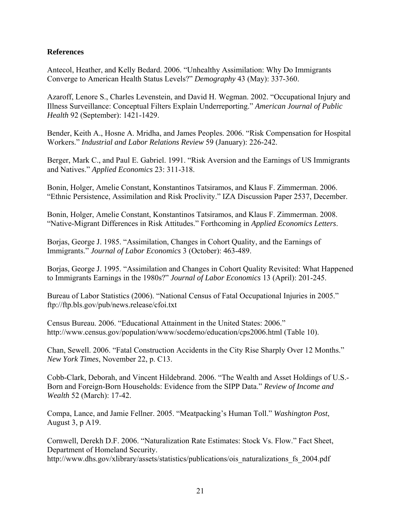## **References**

Antecol, Heather, and Kelly Bedard. 2006. "Unhealthy Assimilation: Why Do Immigrants Converge to American Health Status Levels?" *Demography* 43 (May): 337-360.

Azaroff, Lenore S., Charles Levenstein, and David H. Wegman. 2002. "Occupational Injury and Illness Surveillance: Conceptual Filters Explain Underreporting." *American Journal of Public Health* 92 (September): 1421-1429.

Bender, Keith A., Hosne A. Mridha, and James Peoples. 2006. "Risk Compensation for Hospital Workers." *Industrial and Labor Relations Review* 59 (January): 226-242.

Berger, Mark C., and Paul E. Gabriel. 1991. "Risk Aversion and the Earnings of US Immigrants and Natives." *Applied Economics* 23: 311-318.

Bonin, Holger, Amelie Constant, Konstantinos Tatsiramos, and Klaus F. Zimmerman. 2006. "Ethnic Persistence, Assimilation and Risk Proclivity." IZA Discussion Paper 2537, December.

Bonin, Holger, Amelie Constant, Konstantinos Tatsiramos, and Klaus F. Zimmerman. 2008. "Native-Migrant Differences in Risk Attitudes." Forthcoming in *Applied Economics Letters*.

Borjas, George J. 1985. "Assimilation, Changes in Cohort Quality, and the Earnings of Immigrants." *Journal of Labor Economics* 3 (October): 463-489.

Borjas, George J. 1995. "Assimilation and Changes in Cohort Quality Revisited: What Happened to Immigrants Earnings in the 1980s?" *Journal of Labor Economics* 13 (April): 201-245.

Bureau of Labor Statistics (2006). "National Census of Fatal Occupational Injuries in 2005." ftp://ftp.bls.gov/pub/news.release/cfoi.txt

Census Bureau. 2006. "Educational Attainment in the United States: 2006." http://www.census.gov/population/www/socdemo/education/cps2006.html (Table 10).

Chan, Sewell. 2006. "Fatal Construction Accidents in the City Rise Sharply Over 12 Months." *New York Times*, November 22, p. C13.

Cobb-Clark, Deborah, and Vincent Hildebrand. 2006. "The Wealth and Asset Holdings of U.S.- Born and Foreign-Born Households: Evidence from the SIPP Data." *Review of Income and Wealth* 52 (March): 17-42.

Compa, Lance, and Jamie Fellner. 2005. "Meatpacking's Human Toll." *Washington Post*, August 3, p A19.

Cornwell, Derekh D.F. 2006. "Naturalization Rate Estimates: Stock Vs. Flow." Fact Sheet, Department of Homeland Security.

http://www.dhs.gov/xlibrary/assets/statistics/publications/ois\_naturalizations\_fs\_2004.pdf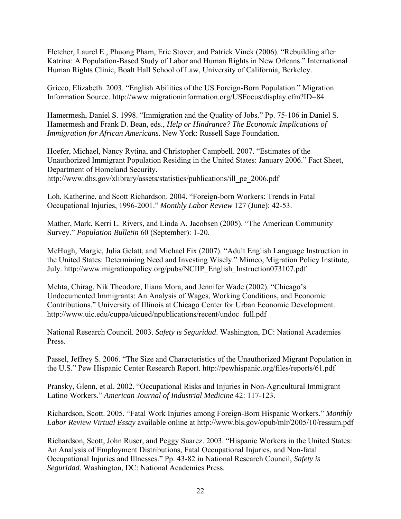Fletcher, Laurel E., Phuong Pham, Eric Stover, and Patrick Vinck (2006). "Rebuilding after Katrina: A Population-Based Study of Labor and Human Rights in New Orleans." International Human Rights Clinic, Boalt Hall School of Law, University of California, Berkeley.

Grieco, Elizabeth. 2003. "English Abilities of the US Foreign-Born Population." Migration Information Source. http://www.migrationinformation.org/USFocus/display.cfm?ID=84

Hamermesh, Daniel S. 1998. "Immigration and the Quality of Jobs." Pp. 75-106 in Daniel S. Hamermesh and Frank D. Bean, eds., *Help or Hindrance? The Economic Implications of Immigration for African Americans.* New York: Russell Sage Foundation.

Hoefer, Michael, Nancy Rytina, and Christopher Campbell. 2007. "Estimates of the Unauthorized Immigrant Population Residing in the United States: January 2006." Fact Sheet, Department of Homeland Security. http://www.dhs.gov/xlibrary/assets/statistics/publications/ill\_pe\_2006.pdf

Loh, Katherine, and Scott Richardson. 2004. "Foreign-born Workers: Trends in Fatal Occupational Injuries, 1996-2001." *Monthly Labor Review* 127 (June): 42-53.

Mather, Mark, Kerri L. Rivers, and Linda A. Jacobsen (2005). "The American Community Survey." *Population Bulletin* 60 (September): 1-20.

McHugh, Margie, Julia Gelatt, and Michael Fix (2007). "Adult English Language Instruction in the United States: Determining Need and Investing Wisely." Mimeo, Migration Policy Institute, July. http://www.migrationpolicy.org/pubs/NCIIP\_English\_Instruction073107.pdf

Mehta, Chirag, Nik Theodore, Iliana Mora, and Jennifer Wade (2002). "Chicago's Undocumented Immigrants: An Analysis of Wages, Working Conditions, and Economic Contributions." University of Illinois at Chicago Center for Urban Economic Development. http://www.uic.edu/cuppa/uicued/npublications/recent/undoc\_full.pdf

National Research Council. 2003. *Safety is Seguridad*. Washington, DC: National Academies Press.

Passel, Jeffrey S. 2006. "The Size and Characteristics of the Unauthorized Migrant Population in the U.S." Pew Hispanic Center Research Report. http://pewhispanic.org/files/reports/61.pdf

Pransky, Glenn, et al. 2002. "Occupational Risks and Injuries in Non-Agricultural Immigrant Latino Workers." *American Journal of Industrial Medicine* 42: 117-123.

Richardson, Scott. 2005. "Fatal Work Injuries among Foreign-Born Hispanic Workers." *Monthly Labor Review Virtual Essay* available online at http://www.bls.gov/opub/mlr/2005/10/ressum.pdf

Richardson, Scott, John Ruser, and Peggy Suarez. 2003. "Hispanic Workers in the United States: An Analysis of Employment Distributions, Fatal Occupational Injuries, and Non-fatal Occupational Injuries and Illnesses." Pp. 43-82 in National Research Council, *Safety is Seguridad*. Washington, DC: National Academies Press.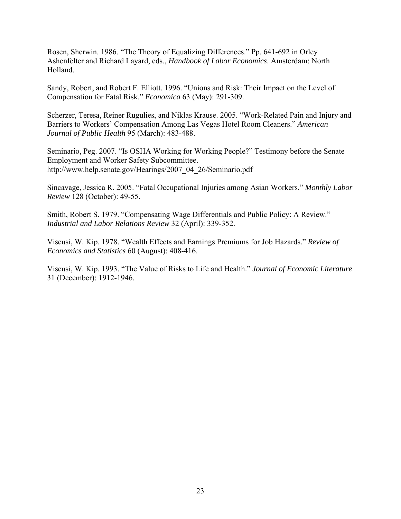Rosen, Sherwin. 1986. "The Theory of Equalizing Differences." Pp. 641-692 in Orley Ashenfelter and Richard Layard, eds., *Handbook of Labor Economics*. Amsterdam: North Holland.

Sandy, Robert, and Robert F. Elliott. 1996. "Unions and Risk: Their Impact on the Level of Compensation for Fatal Risk." *Economica* 63 (May): 291-309.

Scherzer, Teresa, Reiner Rugulies, and Niklas Krause. 2005. "Work-Related Pain and Injury and Barriers to Workers' Compensation Among Las Vegas Hotel Room Cleaners." *American Journal of Public Health* 95 (March): 483-488.

Seminario, Peg. 2007. "Is OSHA Working for Working People?" Testimony before the Senate Employment and Worker Safety Subcommittee. http://www.help.senate.gov/Hearings/2007\_04\_26/Seminario.pdf

Sincavage, Jessica R. 2005. "Fatal Occupational Injuries among Asian Workers." *Monthly Labor Review* 128 (October): 49-55.

Smith, Robert S. 1979. "Compensating Wage Differentials and Public Policy: A Review." *Industrial and Labor Relations Review* 32 (April): 339-352.

Viscusi, W. Kip. 1978. "Wealth Effects and Earnings Premiums for Job Hazards." *Review of Economics and Statistics* 60 (August): 408-416.

Viscusi, W. Kip. 1993. "The Value of Risks to Life and Health." *Journal of Economic Literature* 31 (December): 1912-1946.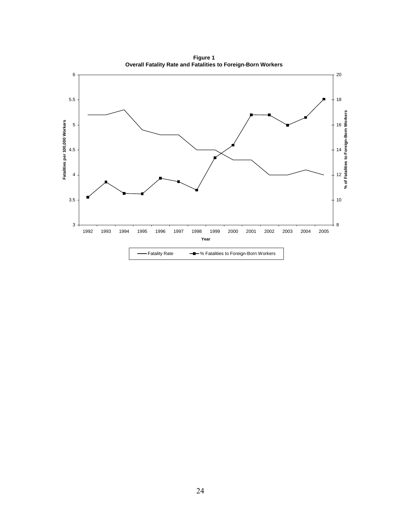**Figure 1 Overall Fatality Rate and Fatalities to Foreign-Born Workers**

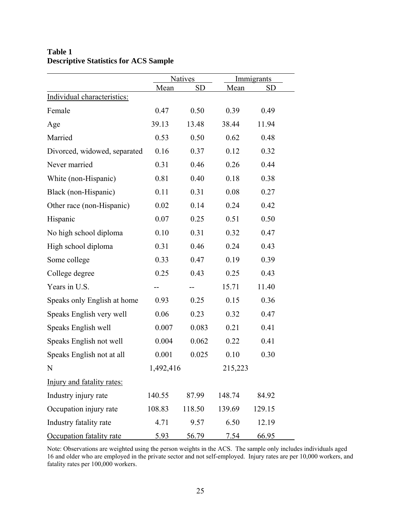| <b>Table 1</b> |                                              |  |
|----------------|----------------------------------------------|--|
|                | <b>Descriptive Statistics for ACS Sample</b> |  |

|                              | <b>Natives</b> |           | Immigrants |           |  |
|------------------------------|----------------|-----------|------------|-----------|--|
|                              | Mean           | <b>SD</b> | Mean       | <b>SD</b> |  |
| Individual characteristics:  |                |           |            |           |  |
| Female                       | 0.47           | 0.50      | 0.39       | 0.49      |  |
| Age                          | 39.13          | 13.48     | 38.44      | 11.94     |  |
| Married                      | 0.53           | 0.50      | 0.62       | 0.48      |  |
| Divorced, widowed, separated | 0.16           | 0.37      | 0.12       | 0.32      |  |
| Never married                | 0.31           | 0.46      | 0.26       | 0.44      |  |
| White (non-Hispanic)         | 0.81           | 0.40      | 0.18       | 0.38      |  |
| Black (non-Hispanic)         | 0.11           | 0.31      | 0.08       | 0.27      |  |
| Other race (non-Hispanic)    | 0.02           | 0.14      | 0.24       | 0.42      |  |
| Hispanic                     | 0.07           | 0.25      | 0.51       | 0.50      |  |
| No high school diploma       | 0.10           | 0.31      | 0.32       | 0.47      |  |
| High school diploma          | 0.31           | 0.46      | 0.24       | 0.43      |  |
| Some college                 | 0.33           | 0.47      | 0.19       | 0.39      |  |
| College degree               | 0.25           | 0.43      | 0.25       | 0.43      |  |
| Years in U.S.                |                |           | 15.71      | 11.40     |  |
| Speaks only English at home  | 0.93           | 0.25      | 0.15       | 0.36      |  |
| Speaks English very well     | 0.06           | 0.23      | 0.32       | 0.47      |  |
| Speaks English well          | 0.007          | 0.083     | 0.21       | 0.41      |  |
| Speaks English not well      | 0.004          | 0.062     | 0.22       | 0.41      |  |
| Speaks English not at all    | 0.001          | 0.025     | 0.10       | 0.30      |  |
| N                            | 1,492,416      |           | 215,223    |           |  |
| Injury and fatality rates:   |                |           |            |           |  |
| Industry injury rate         | 140.55         | 87.99     | 148.74     | 84.92     |  |
| Occupation injury rate       | 108.83         | 118.50    | 139.69     | 129.15    |  |
| Industry fatality rate       | 4.71           | 9.57      | 6.50       | 12.19     |  |
| Occupation fatality rate     | 5.93           | 56.79     | 7.54       | 66.95     |  |

Note: Observations are weighted using the person weights in the ACS. The sample only includes individuals aged 16 and older who are employed in the private sector and not self-employed. Injury rates are per 10,000 workers, and fatality rates per 100,000 workers.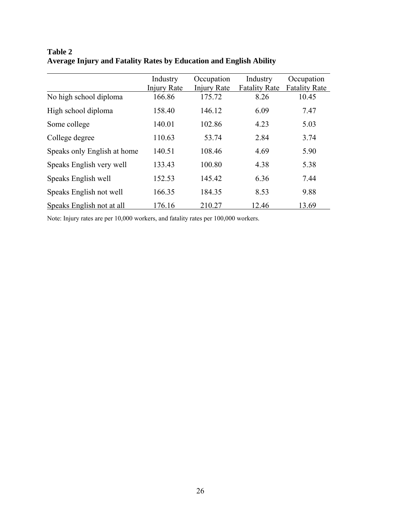|                             | Industry    | Occupation  | Industry             | Occupation           |
|-----------------------------|-------------|-------------|----------------------|----------------------|
|                             | Injury Rate | Injury Rate | <b>Fatality Rate</b> | <b>Fatality Rate</b> |
| No high school diploma      | 166.86      | 175.72      | 8.26                 | 10.45                |
| High school diploma         | 158.40      | 146.12      | 6.09                 | 7.47                 |
| Some college                | 140.01      | 102.86      | 4.23                 | 5.03                 |
| College degree              | 110.63      | 53.74       | 2.84                 | 3.74                 |
| Speaks only English at home | 140.51      | 108.46      | 4.69                 | 5.90                 |
| Speaks English very well    | 133.43      | 100.80      | 4.38                 | 5.38                 |
| Speaks English well         | 152.53      | 145.42      | 6.36                 | 7.44                 |
| Speaks English not well     | 166.35      | 184.35      | 8.53                 | 9.88                 |
| Speaks English not at all   | 176.16      | 210.27      | 12.46                | 13.69                |

**Table 2 Average Injury and Fatality Rates by Education and English Ability**

Note: Injury rates are per 10,000 workers, and fatality rates per 100,000 workers.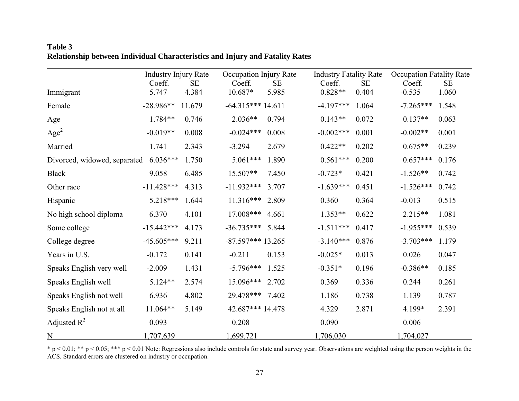|                              | <b>Industry Injury Rate</b> |           | Occupation Injury Rate |          | <b>Industry Fatality Rate</b> |           | <b>Occupation Fatality Rate</b> |          |
|------------------------------|-----------------------------|-----------|------------------------|----------|-------------------------------|-----------|---------------------------------|----------|
|                              | Coeff.                      | <b>SE</b> | Coeff.                 | $\rm SE$ | Coeff.                        | <b>SE</b> | Coeff.                          | $\rm SE$ |
| Immigrant                    | 5.747                       | 4.384     | $10.687*$              | 5.985    | $0.828**$                     | 0.404     | $-0.535$                        | 1.060    |
| Female                       | $-28.986**$                 | 11.679    | $-64.315***14.611$     |          | $-4.197***$                   | 1.064     | $-7.265***$                     | 1.548    |
| Age                          | 1.784**                     | 0.746     | $2.036**$              | 0.794    | $0.143**$                     | 0.072     | $0.137**$                       | 0.063    |
| Age <sup>2</sup>             | $-0.019**$                  | 0.008     | $-0.024***$            | 0.008    | $-0.002***$                   | 0.001     | $-0.002**$                      | 0.001    |
| Married                      | 1.741                       | 2.343     | $-3.294$               | 2.679    | $0.422**$                     | 0.202     | $0.675**$                       | 0.239    |
| Divorced, widowed, separated | $6.036***$                  | 1.750     | $5.061***$             | 1.890    | $0.561***$                    | 0.200     | $0.657***$                      | 0.176    |
| <b>Black</b>                 | 9.058                       | 6.485     | 15.507**               | 7.450    | $-0.723*$                     | 0.421     | $-1.526**$                      | 0.742    |
| Other race                   | $-11.428***$                | 4.313     | $-11.932***$           | 3.707    | $-1.639***$                   | 0.451     | $-1.526***$                     | 0.742    |
| Hispanic                     | 5.218***                    | 1.644     | $11.316***$            | 2.809    | 0.360                         | 0.364     | $-0.013$                        | 0.515    |
| No high school diploma       | 6.370                       | 4.101     | $17.008***$            | 4.661    | $1.353**$                     | 0.622     | 2.215**                         | 1.081    |
| Some college                 | $-15.442***$                | 4.173     | $-36.735***$           | 5.844    | $-1.511***$                   | 0.417     | $-1.955***$                     | 0.539    |
| College degree               | $-45.605***$                | 9.211     | $-87.597***13.265$     |          | $-3.140***$                   | 0.876     | $-3.703***$                     | 1.179    |
| Years in U.S.                | $-0.172$                    | 0.141     | $-0.211$               | 0.153    | $-0.025*$                     | 0.013     | 0.026                           | 0.047    |
| Speaks English very well     | $-2.009$                    | 1.431     | $-5.796***$            | 1.525    | $-0.351*$                     | 0.196     | $-0.386**$                      | 0.185    |
| Speaks English well          | 5.124**                     | 2.574     | 15.096***              | 2.702    | 0.369                         | 0.336     | 0.244                           | 0.261    |
| Speaks English not well      | 6.936                       | 4.802     | 29.478***              | 7.402    | 1.186                         | 0.738     | 1.139                           | 0.787    |
| Speaks English not at all    | 11.064**                    | 5.149     | 42.687*** 14.478       |          | 4.329                         | 2.871     | 4.199*                          | 2.391    |
| Adjusted $R^2$               | 0.093                       |           | 0.208                  |          | 0.090                         |           | 0.006                           |          |
| $\underline{N}$              | 1,707,639                   |           | 1,699,721              |          | 1,706,030                     |           | 1,704,027                       |          |

## **Table 3 Relationship between Individual Characteristics and Injury and Fatality Rates**

 $* p < 0.01; ** p < 0.05; *** p < 0.01$  Note: Regressions also include controls for state and survey year. Observations are weighted using the person weights in the ACS. Standard errors are clustered on industry or occupation.